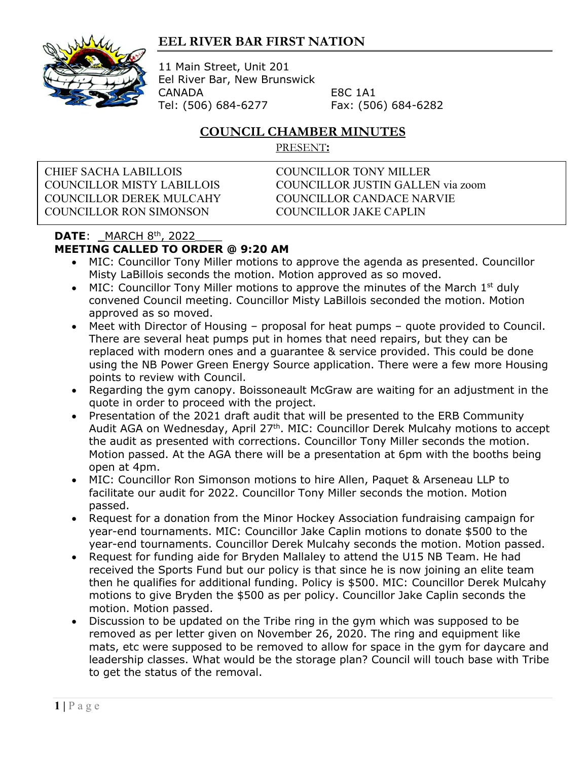## **EEL RIVER BAR FIRST NATION**



11 Main Street, Unit 201 Eel River Bar, New Brunswick CANADA E8C 1A1 Tel: (506) 684-6277 Fax: (506) 684-6282

## **COUNCIL CHAMBER MINUTES**

PRESENT**:**

CHIEF SACHA LABILLOIS COUNCILLOR TONY MILLER COUNCILLOR DEREK MULCAHY COUNCILLOR CANDACE NARVIE COUNCILLOR RON SIMONSON COUNCILLOR JAKE CAPLIN

COUNCILLOR MISTY LABILLOIS COUNCILLOR JUSTIN GALLEN via zoom

## **DATE:** \_MARCH 8<sup>th</sup>, 2022 **MEETING CALLED TO ORDER @ 9:20 AM**

- MIC: Councillor Tony Miller motions to approve the agenda as presented. Councillor Misty LaBillois seconds the motion. Motion approved as so moved.
- MIC: Councillor Tony Miller motions to approve the minutes of the March  $1<sup>st</sup>$  duly convened Council meeting. Councillor Misty LaBillois seconded the motion. Motion approved as so moved.
- Meet with Director of Housing proposal for heat pumps quote provided to Council. There are several heat pumps put in homes that need repairs, but they can be replaced with modern ones and a guarantee & service provided. This could be done using the NB Power Green Energy Source application. There were a few more Housing points to review with Council.
- Regarding the gym canopy. Boissoneault McGraw are waiting for an adjustment in the quote in order to proceed with the project.
- Presentation of the 2021 draft audit that will be presented to the ERB Community Audit AGA on Wednesday, April 27<sup>th</sup>. MIC: Councillor Derek Mulcahy motions to accept the audit as presented with corrections. Councillor Tony Miller seconds the motion. Motion passed. At the AGA there will be a presentation at 6pm with the booths being open at 4pm.
- MIC: Councillor Ron Simonson motions to hire Allen, Paquet & Arseneau LLP to facilitate our audit for 2022. Councillor Tony Miller seconds the motion. Motion passed.
- Request for a donation from the Minor Hockey Association fundraising campaign for year-end tournaments. MIC: Councillor Jake Caplin motions to donate \$500 to the year-end tournaments. Councillor Derek Mulcahy seconds the motion. Motion passed.
- Request for funding aide for Bryden Mallaley to attend the U15 NB Team. He had received the Sports Fund but our policy is that since he is now joining an elite team then he qualifies for additional funding. Policy is \$500. MIC: Councillor Derek Mulcahy motions to give Bryden the \$500 as per policy. Councillor Jake Caplin seconds the motion. Motion passed.
- Discussion to be updated on the Tribe ring in the gym which was supposed to be removed as per letter given on November 26, 2020. The ring and equipment like mats, etc were supposed to be removed to allow for space in the gym for daycare and leadership classes. What would be the storage plan? Council will touch base with Tribe to get the status of the removal.